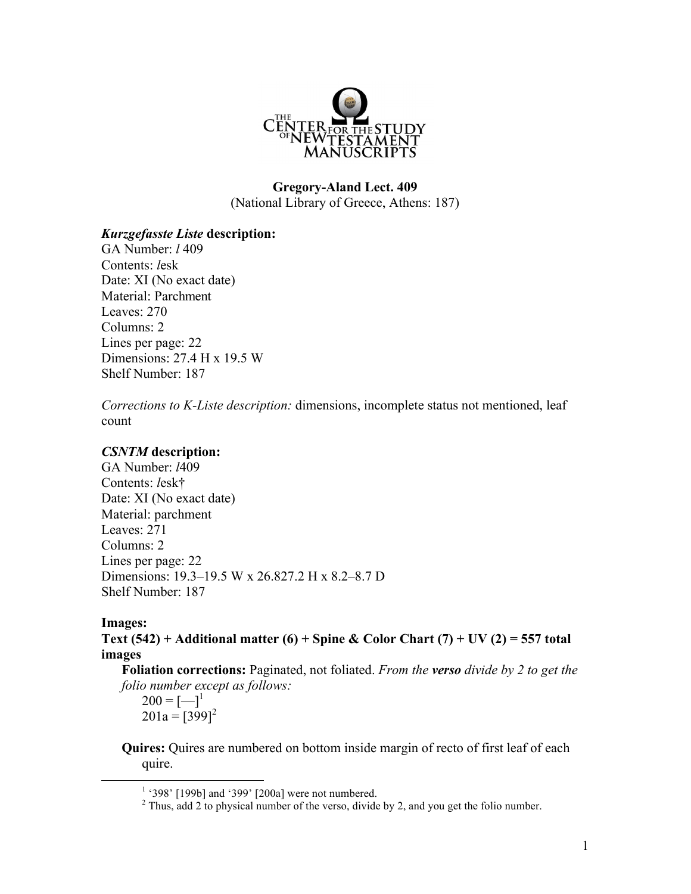

# **Gregory-Aland Lect. 409** (National Library of Greece, Athens: 187)

## *Kurzgefasste Liste* **description:**

GA Number: *l* 409 Contents: *l*esk Date: XI (No exact date) Material: Parchment Leaves: 270 Columns: 2 Lines per page: 22 Dimensions: 27.4 H x 19.5 W Shelf Number: 187

*Corrections to K-Liste description:* dimensions, incomplete status not mentioned, leaf count

### *CSNTM* **description:**

GA Number: *l*409 Contents: *l*esk† Date: XI (No exact date) Material: parchment Leaves: 271 Columns: 2 Lines per page: 22 Dimensions: 19.3–19.5 W x 26.827.2 H x 8.2–8.7 D Shelf Number: 187

#### **Images:**

**Text (542) + Additional matter (6) + Spine & Color Chart (7) + UV (2) = 557 total images**

**Foliation corrections:** Paginated, not foliated. *From the verso divide by 2 to get the folio number except as follows:*

 $200 = [-]^{1}$  $201a = [399]^{2}$ 

**Quires:** Quires are numbered on bottom inside margin of recto of first leaf of each quire.

 $1$  '398' [199b] and '399' [200a] were not numbered.

 $2$  Thus, add 2 to physical number of the verso, divide by 2, and you get the folio number.